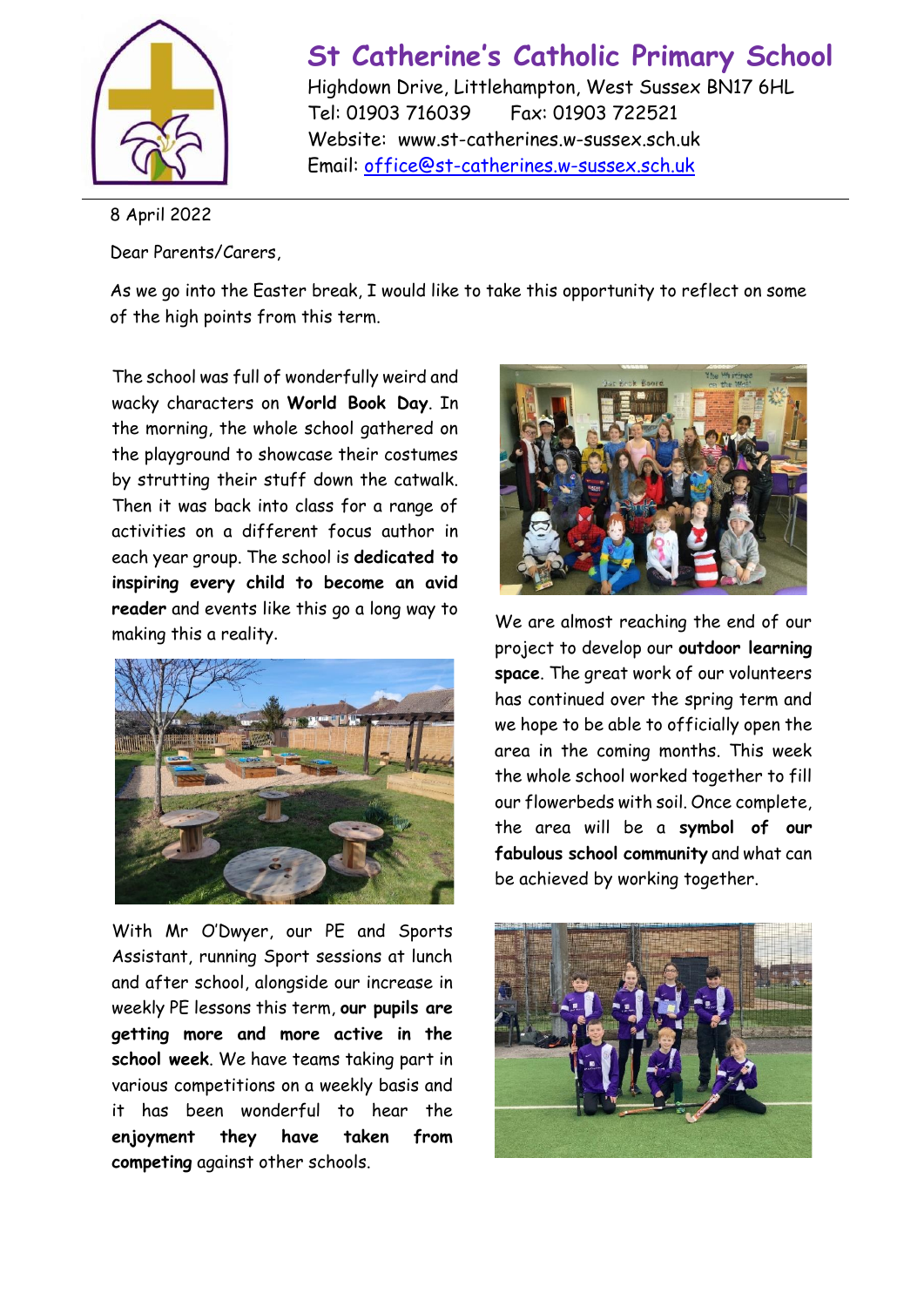

## **St Catherine's Catholic Primary School**

Highdown Drive, Littlehampton, West Sussex BN17 6HL Tel: 01903 716039 Fax: 01903 722521 Website: www.st-catherines.w-sussex.sch.uk Email: [office@st-catherines.w-sussex.sch.uk](mailto:office@st-catherines.w-sussex.sch.uk)

8 April 2022

Dear Parents/Carers,

As we go into the Easter break, I would like to take this opportunity to reflect on some of the high points from this term.

The school was full of wonderfully weird and wacky characters on **World Book Day**. In the morning, the whole school gathered on the playground to showcase their costumes by strutting their stuff down the catwalk. Then it was back into class for a range of activities on a different focus author in each year group. The school is **dedicated to inspiring every child to become an avid reader** and events like this go a long way to making this a reality.



With Mr O'Dwyer, our PE and Sports Assistant, running Sport sessions at lunch and after school, alongside our increase in weekly PE lessons this term, **our pupils are getting more and more active in the school week**. We have teams taking part in various competitions on a weekly basis and it has been wonderful to hear the **enjoyment they have taken from competing** against other schools.



We are almost reaching the end of our project to develop our **outdoor learning space**. The great work of our volunteers has continued over the spring term and we hope to be able to officially open the area in the coming months. This week the whole school worked together to fill our flowerbeds with soil. Once complete, the area will be a **symbol of our fabulous school community** and what can be achieved by working together.